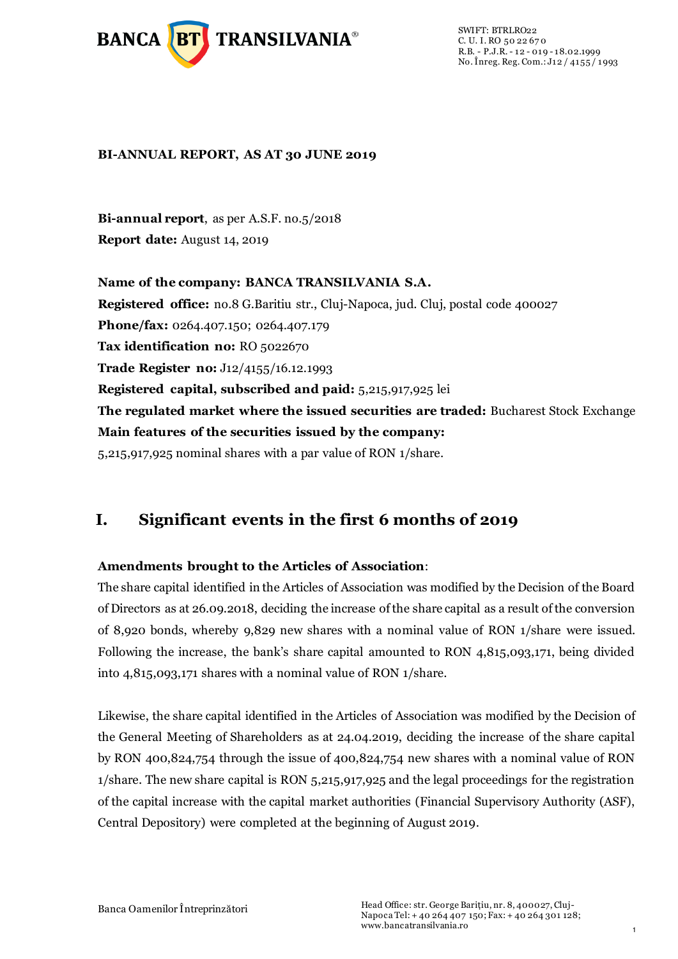

SWIFT: BTRLRO22 C. U. I. RO 50 22 67 0 R.B. - P.J.R. - 12 - 019 - 18.02.1999 No. Înreg. Reg. Com.: J12 / 4155 / 1993

#### **BI-ANNUAL REPORT, AS AT 30 JUNE 2019**

**Bi-annual report**, as per A.S.F. no.5/2018 **Report date:** August 14, 2019

**Name of the company: BANCA TRANSILVANIA S.A. Registered office:** no.8 G.Baritiu str., Cluj-Napoca, jud. Cluj, postal code 400027 **Phone/fax:** 0264.407.150; 0264.407.179 **Tax identification no:** RO 5022670 **Trade Register no:** J12/4155/16.12.1993 **Registered capital, subscribed and paid:** 5,215,917,925 lei **The regulated market where the issued securities are traded:** Bucharest Stock Exchange **Main features of the securities issued by the company:**  5,215,917,925 nominal shares with a par value of RON 1/share.

# **I. Significant events in the first 6 months of 2019**

#### **Amendments brought to the Articles of Association**:

The share capital identified in the Articles of Association was modified by the Decision of the Board of Directors as at 26.09.2018, deciding the increase of the share capital as a result of the conversion of 8,920 bonds, whereby 9,829 new shares with a nominal value of RON 1/share were issued. Following the increase, the bank's share capital amounted to RON 4,815,093,171, being divided into 4,815,093,171 shares with a nominal value of RON 1/share.

Likewise, the share capital identified in the Articles of Association was modified by the Decision of the General Meeting of Shareholders as at 24.04.2019, deciding the increase of the share capital by RON 400,824,754 through the issue of 400,824,754 new shares with a nominal value of RON 1/share. The new share capital is RON 5,215,917,925 and the legal proceedings for the registration of the capital increase with the capital market authorities (Financial Supervisory Authority (ASF), Central Depository) were completed at the beginning of August 2019.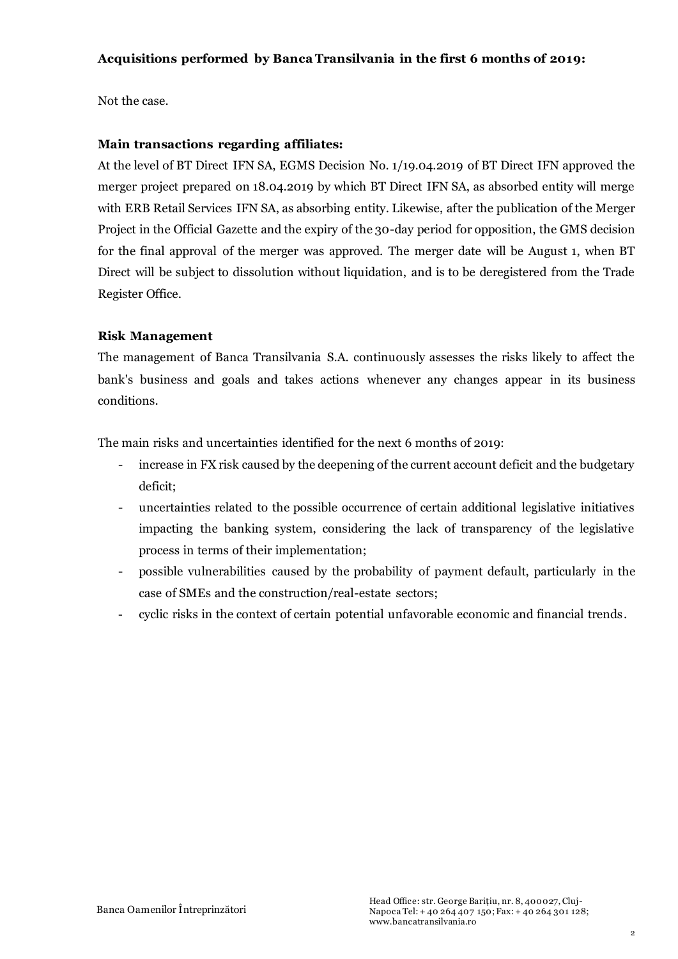#### **Acquisitions performed by Banca Transilvania in the first 6 months of 2019:**

Not the case.

#### **Main transactions regarding affiliates:**

At the level of BT Direct IFN SA, EGMS Decision No. 1/19.04.2019 of BT Direct IFN approved the merger project prepared on 18.04.2019 by which BT Direct IFN SA, as absorbed entity will merge with ERB Retail Services IFN SA, as absorbing entity. Likewise, after the publication of the Merger Project in the Official Gazette and the expiry of the 30-day period for opposition, the GMS decision for the final approval of the merger was approved. The merger date will be August 1, when BT Direct will be subject to dissolution without liquidation, and is to be deregistered from the Trade Register Office.

#### **Risk Management**

The management of Banca Transilvania S.A. continuously assesses the risks likely to affect the bank's business and goals and takes actions whenever any changes appear in its business conditions.

The main risks and uncertainties identified for the next 6 months of 2019:

- increase in FX risk caused by the deepening of the current account deficit and the budgetary deficit;
- uncertainties related to the possible occurrence of certain additional legislative initiatives impacting the banking system, considering the lack of transparency of the legislative process in terms of their implementation;
- possible vulnerabilities caused by the probability of payment default, particularly in the case of SMEs and the construction/real-estate sectors;
- cyclic risks in the context of certain potential unfavorable economic and financial trends.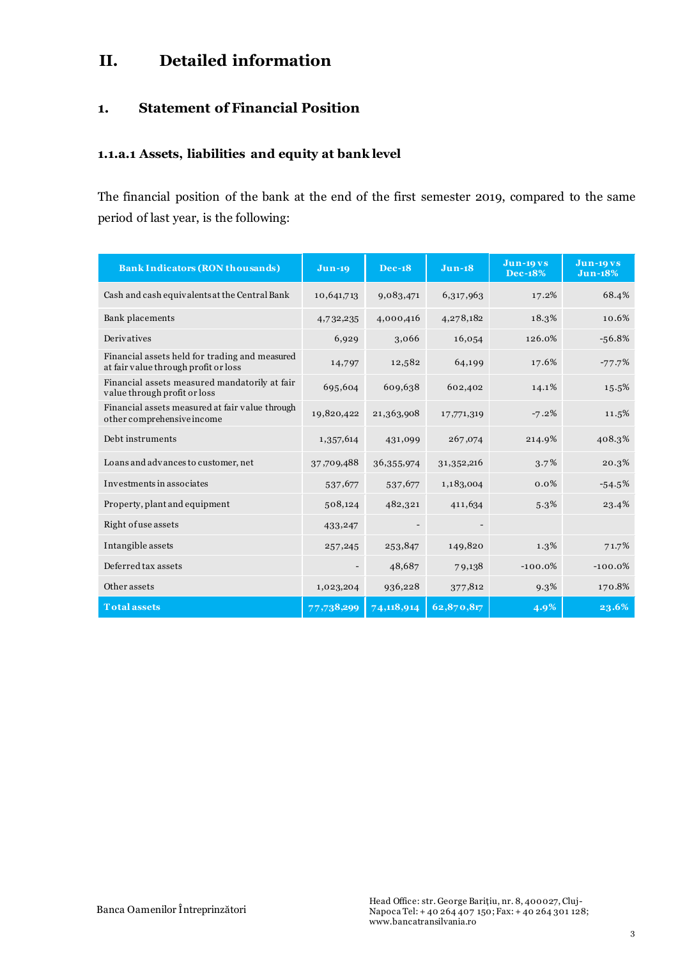# **II. Detailed information**

## **1. Statement of Financial Position**

#### **1.1.a.1 Assets, liabilities and equity at bank level**

The financial position of the bank at the end of the first semester 2019, compared to the same period of last year, is the following:

| <b>Bank Indicators (RON thousands)</b>                                                 | $Jun-19$   | <b>Dec-18</b> | $Jun-18$                 | <b>Jun-19 vs</b><br><b>Dec-18%</b> | <b>Jun-19 vs</b><br><b>Jun-18%</b> |
|----------------------------------------------------------------------------------------|------------|---------------|--------------------------|------------------------------------|------------------------------------|
| Cash and cash equivalents at the Central Bank                                          | 10,641,713 | 9,083,471     | 6,317,963                | 17.2%                              | 68.4%                              |
| Bank placements                                                                        | 4,732,235  | 4,000,416     | 4,278,182                | 18.3%                              | 10.6%                              |
| Derivatives                                                                            | 6,929      | 3,066         | 16,054                   | 126.0%                             | $-56.8%$                           |
| Financial assets held for trading and measured<br>at fair value through profit or loss | 14,797     | 12,582        | 64,199                   | 17.6%                              | $-77.7%$                           |
| Financial assets measured mandatorily at fair<br>value through profit or loss          | 695,604    | 609,638       | 602,402                  | 14.1%                              | 15.5%                              |
| Financial assets measured at fair value through<br>other comprehensive income          | 19,820,422 | 21,363,908    | 17,771,319               | $-7.2%$                            | 11.5%                              |
| Debt instruments                                                                       | 1,357,614  | 431,099       | 267,074                  | 214.9%                             | 408.3%                             |
| Loans and advances to customer, net                                                    | 37,709,488 | 36,355,974    | 31, 352, 216             | $3.7\%$                            | 20.3%                              |
| Investments in associates                                                              | 537,677    | 537,677       | 1,183,004                | 0.0%                               | $-54.5%$                           |
| Property, plant and equipment                                                          | 508,124    | 482,321       | 411,634                  | 5.3%                               | 23.4%                              |
| Right of use assets                                                                    | 433,247    |               | $\overline{\phantom{0}}$ |                                    |                                    |
| Intangible assets                                                                      | 257,245    | 253,847       | 149,820                  | 1.3%                               | 71.7%                              |
| Deferred tax assets                                                                    |            | 48,687        | 79,138                   | $-100.0%$                          | $-100.0%$                          |
| Other assets                                                                           | 1,023,204  | 936,228       | 377,812                  | $9.3\%$                            | 170.8%                             |
| <b>Total assets</b>                                                                    | 77,738,299 | 74,118,914    | 62,870,817               | 4.9%                               | 23.6%                              |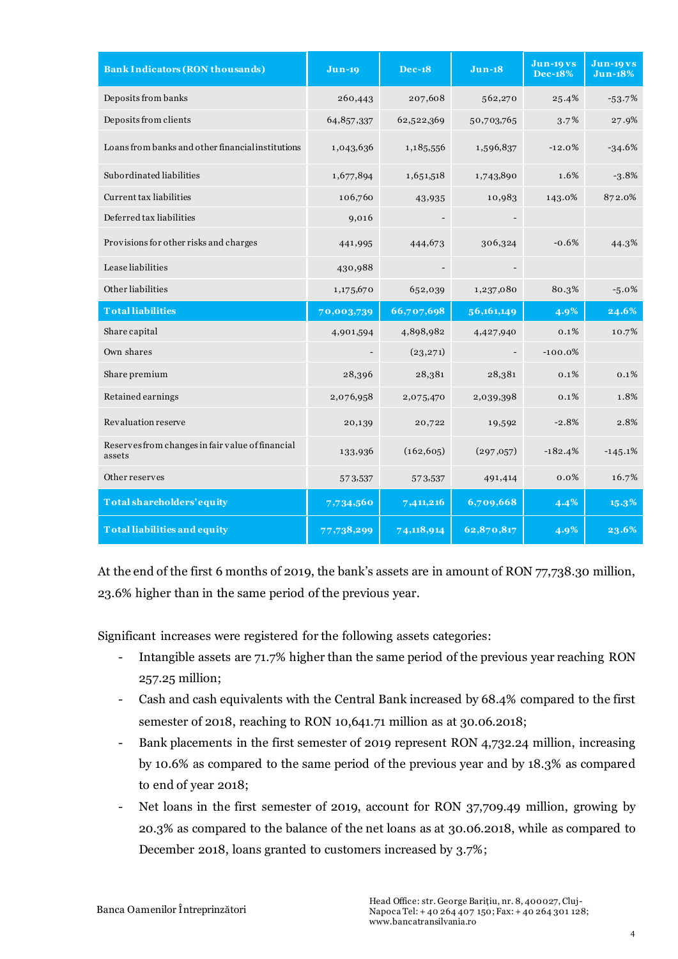| <b>Bank Indicators (RON thousands)</b>                     | $Jun-19$   | <b>Dec-18</b> | $Jun-18$   | <b>Jun-19 vs</b><br><b>Dec-18%</b> | <b>Jun-19 vs</b><br><b>Jun-18%</b> |
|------------------------------------------------------------|------------|---------------|------------|------------------------------------|------------------------------------|
| Deposits from banks                                        | 260,443    | 207,608       | 562,270    | 25.4%                              | $-53.7%$                           |
| Deposits from clients                                      | 64,857,337 | 62,522,369    | 50,703,765 | 3.7%                               | 27.9%                              |
| Loans from banks and other financial institutions          | 1,043,636  | 1,185,556     | 1,596,837  | $-12.0%$                           | $-34.6%$                           |
| Subordinated liabilities                                   | 1,677,894  | 1,651,518     | 1,743,890  | 1.6%                               | $-3.8%$                            |
| Current tax liabilities                                    | 106,760    | 43,935        | 10,983     | 143.0%                             | 872.0%                             |
| Deferred tax liabilities                                   | 9,016      |               |            |                                    |                                    |
| Provisions for other risks and charges                     | 441,995    | 444,673       | 306,324    | $-0.6%$                            | 44.3%                              |
| Lease liabilities                                          | 430,988    |               |            |                                    |                                    |
| Other liabilities                                          | 1,175,670  | 652,039       | 1,237,080  | 80.3%                              | $-5.0\%$                           |
| <b>Totalliabilities</b>                                    | 70,003,739 | 66,707,698    | 56,161,149 | 4.9%                               | 24.6%                              |
| Share capital                                              | 4,901,594  | 4,898,982     | 4,427,940  | 0.1%                               | 10.7%                              |
| Own shares                                                 |            | (23, 271)     |            | $-100.0%$                          |                                    |
| Share premium                                              | 28,396     | 28,381        | 28,381     | 0.1%                               | 0.1%                               |
| Retained earnings                                          | 2,076,958  | 2,075,470     | 2,039,398  | 0.1%                               | 1.8%                               |
| Revaluation reserve                                        | 20,139     | 20,722        | 19,592     | $-2.8%$                            | 2.8%                               |
| Reserves from changes in fair value of financial<br>assets | 133,936    | (162, 605)    | (297,057)  | $-182.4%$                          | $-145.1%$                          |
| Other reserves                                             | 573,537    | 573,537       | 491,414    | $0.0\%$                            | 16.7%                              |
| Total shareholders' equity                                 | 7,734,560  | 7,411,216     | 6,709,668  | 4.4%                               | 15.3%                              |
| <b>Total liabilities and equity</b>                        | 77,738,299 | 74,118,914    | 62,870,817 | 4.9%                               | 23.6%                              |

At the end of the first 6 months of 2019, the bank's assets are in amount of RON 77,738.30 million, 23.6% higher than in the same period of the previous year.

Significant increases were registered for the following assets categories:

- Intangible assets are 71.7% higher than the same period of the previous year reaching RON 257.25 million;
- Cash and cash equivalents with the Central Bank increased by 68.4% compared to the first semester of 2018, reaching to RON 10,641.71 million as at 30.06.2018;
- Bank placements in the first semester of 2019 represent RON 4,732.24 million, increasing by 10.6% as compared to the same period of the previous year and by 18.3% as compared to end of year 2018;
- Net loans in the first semester of 2019, account for RON 37,709.49 million, growing by 20.3% as compared to the balance of the net loans as at 30.06.2018, while as compared to December 2018, loans granted to customers increased by 3.7%;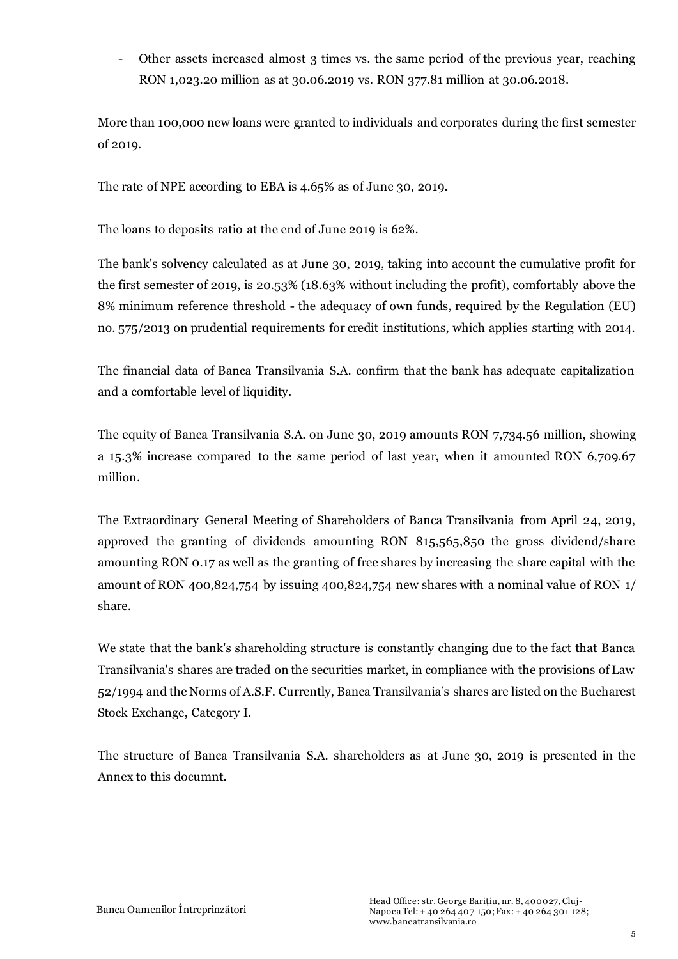- Other assets increased almost 3 times vs. the same period of the previous year, reaching RON 1,023.20 million as at 30.06.2019 vs. RON 377.81 million at 30.06.2018.

More than 100,000 new loans were granted to individuals and corporates during the first semester of 2019.

The rate of NPE according to EBA is 4.65% as of June 30, 2019.

The loans to deposits ratio at the end of June 2019 is 62%.

The bank's solvency calculated as at June 30, 2019, taking into account the cumulative profit for the first semester of 2019, is 20.53% (18.63% without including the profit), comfortably above the 8% minimum reference threshold - the adequacy of own funds, required by the Regulation (EU) no. 575/2013 on prudential requirements for credit institutions, which applies starting with 2014.

The financial data of Banca Transilvania S.A. confirm that the bank has adequate capitalization and a comfortable level of liquidity.

The equity of Banca Transilvania S.A. on June 30, 2019 amounts RON 7,734.56 million, showing a 15.3% increase compared to the same period of last year, when it amounted RON 6,709.67 million.

The Extraordinary General Meeting of Shareholders of Banca Transilvania from April 24, 2019, approved the granting of dividends amounting RON 815,565,850 the gross dividend/share amounting RON 0.17 as well as the granting of free shares by increasing the share capital with the amount of RON 400,824,754 by issuing 400,824,754 new shares with a nominal value of RON 1/ share.

We state that the bank's shareholding structure is constantly changing due to the fact that Banca Transilvania's shares are traded on the securities market, in compliance with the provisions of Law 52/1994 and the Norms of A.S.F. Currently, Banca Transilvania's shares are listed on the Bucharest Stock Exchange, Category I.

The structure of Banca Transilvania S.A. shareholders as at June 30, 2019 is presented in the Annex to this documnt.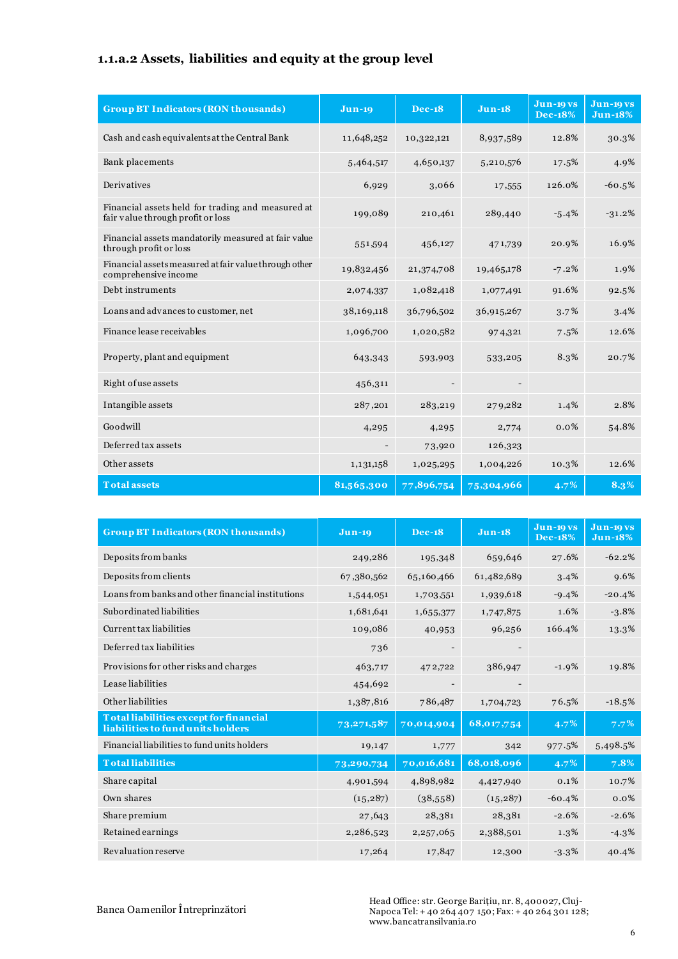# **1.1.a.2 Assets, liabilities and equity at the group level**

| <b>Group BT Indicators (RON thousands)</b>                                             | $Jun-19$   | <b>Dec-18</b> | $Jun-18$   | <b>Jun-19 vs</b><br><b>Dec-18%</b> | Jun-19 vs<br><b>Jun-18%</b> |
|----------------------------------------------------------------------------------------|------------|---------------|------------|------------------------------------|-----------------------------|
| Cash and cash equivalents at the Central Bank                                          | 11,648,252 | 10,322,121    | 8,937,589  | 12.8%                              | 30.3%                       |
| Bank placements                                                                        | 5,464,517  | 4,650,137     | 5,210,576  | 17.5%                              | 4.9%                        |
| Derivatives                                                                            | 6,929      | 3,066         | 17,555     | 126.0%                             | $-60.5%$                    |
| Financial assets held for trading and measured at<br>fair value through profit or loss | 199,089    | 210,461       | 289,440    | $-5.4%$                            | $-31.2%$                    |
| Financial assets mandatorily measured at fair value<br>through profit or loss          | 551,594    | 456,127       | 471,739    | 20.9%                              | 16.9%                       |
| Financial assets measured at fair value through other<br>comprehensive income          | 19,832,456 | 21,374,708    | 19,465,178 | $-7.2%$                            | 1.9%                        |
| Debt instruments                                                                       | 2,074,337  | 1,082,418     | 1,077,491  | 91.6%                              | 92.5%                       |
| Loans and advances to customer, net                                                    | 38,169,118 | 36,796,502    | 36,915,267 | 3.7%                               | 3.4%                        |
| Finance lease receivables                                                              | 1,096,700  | 1,020,582     | 974,321    | 7.5%                               | 12.6%                       |
| Property, plant and equipment                                                          | 643,343    | 593,903       | 533,205    | 8.3%                               | 20.7%                       |
| Right of use assets                                                                    | 456,311    |               |            |                                    |                             |
| Intangible assets                                                                      | 287,201    | 283,219       | 279,282    | 1.4%                               | 2.8%                        |
| Goodwill                                                                               | 4,295      | 4,295         | 2,774      | 0.0%                               | 54.8%                       |
| Deferred tax assets                                                                    |            | 73,920        | 126,323    |                                    |                             |
| Other assets                                                                           | 1,131,158  | 1,025,295     | 1,004,226  | 10.3%                              | 12.6%                       |
| <b>Total assets</b>                                                                    | 81,565,300 | 77,896,754    | 75,304,966 | $4.7\%$                            | 8.3%                        |

| <b>Group BT Indicators (RON thousands)</b>                                  | <b>Jun-19</b> | <b>Dec-18</b> | $J$ un-18                | <b>Jun-19 vs</b><br><b>Dec-18%</b> | <b>Jun-19 vs</b><br><b>Jun-18%</b> |
|-----------------------------------------------------------------------------|---------------|---------------|--------------------------|------------------------------------|------------------------------------|
| Deposits from banks                                                         | 249,286       | 195,348       | 659,646                  | 27.6%                              | $-62.2%$                           |
| Deposits from clients                                                       | 67,380,562    | 65,160,466    | 61,482,689               | 3.4%                               | 9.6%                               |
| Loans from banks and other financial institutions                           | 1,544,051     | 1,703,551     | 1,939,618                | $-9.4%$                            | $-20.4%$                           |
| Subordinated liabilities                                                    | 1,681,641     | 1,655,377     | 1,747,875                | 1.6%                               | $-3.8%$                            |
| Current tax liabilities                                                     | 109,086       | 40,953        | 96,256                   | 166.4%                             | 13.3%                              |
| Deferred tax liabilities                                                    | 736           |               | $\overline{\phantom{0}}$ |                                    |                                    |
| Provisions for other risks and charges                                      | 463,717       | 472,722       | 386,947                  | $-1.9%$                            | 19.8%                              |
| Lease liabilities                                                           | 454,692       |               |                          |                                    |                                    |
| Other liabilities                                                           | 1,387,816     | 786,487       | 1,704,723                | 76.5%                              | $-18.5%$                           |
| Total liabilities except for financial<br>liabilities to fund units holders | 73,271,587    | 70,014,904    | 68,017,754               | $4.7\%$                            | $7.7\%$                            |
| Financial liabilities to fund units holders                                 | 19,147        | 1,777         | 342                      | 977.5%                             | 5,498.5%                           |
| <b>Totalliabilities</b>                                                     | 73,290,734    | 70,016,681    | 68,018,096               | 4.7%                               | 7.8%                               |
| Share capital                                                               | 4,901,594     | 4,898,982     | 4,427,940                | 0.1%                               | 10.7%                              |
| Own shares                                                                  | (15, 287)     | (38,558)      | (15, 287)                | $-60.4%$                           | 0.0%                               |
| Share premium                                                               | 27,643        | 28,381        | 28,381                   | $-2.6%$                            | $-2.6%$                            |
| Retained earnings                                                           | 2,286,523     | 2,257,065     | 2,388,501                | $1.3\%$                            | $-4.3\%$                           |
| Revaluation reserve                                                         | 17,264        | 17,847        | 12,300                   | $-3.3%$                            | 40.4%                              |

Banca Oamenilor Întreprinzători

Head Office: str. George Barițiu, nr. 8, 400027, Cluj-Napoca Tel: + 40 264 407 150; Fax: + 40 264 301 128; www.bancatransilvania.ro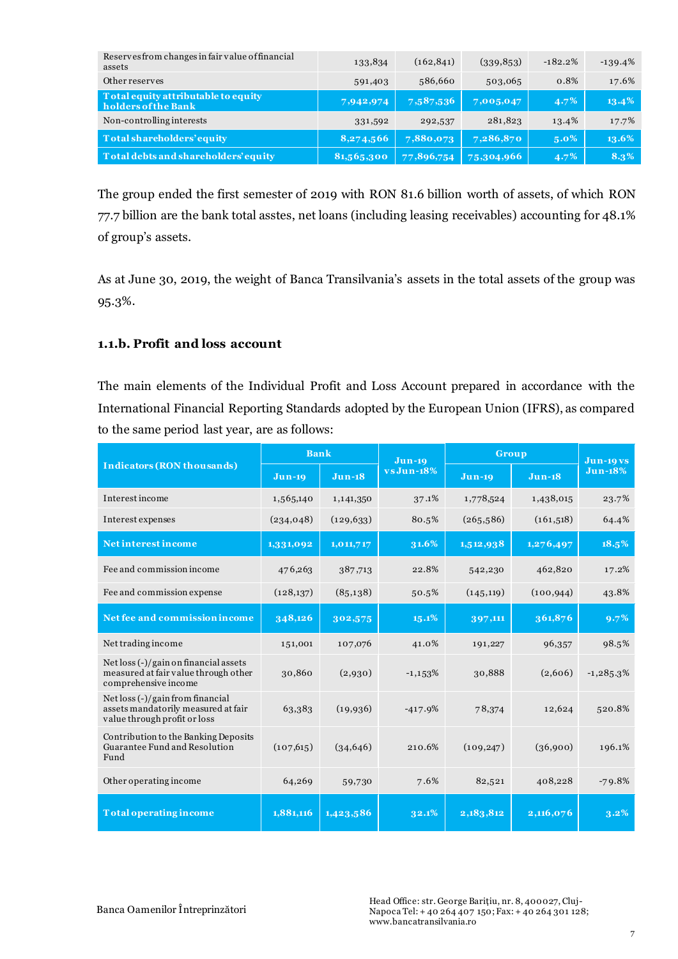| Reserves from changes in fair value of financial<br>assets | 133,834    | (162, 841) | (339, 853) | $-182.2%$ | $-139.4%$ |
|------------------------------------------------------------|------------|------------|------------|-----------|-----------|
| Other reserves                                             | 591,403    | 586,660    | 503,065    | 0.8%      | 17.6%     |
| Total equity attributable to equity<br>holders of the Bank | 7,942,974  | 7,587,536  | 7,005,047  | $4.7\%$   | $13.4\%$  |
| Non-controlling interests                                  | 331,592    | 292,537    | 281,823    | 13.4%     | 17.7%     |
| Total shareholders' equity                                 | 8,274,566  | 7,880,073  | 7,286,870  | $5.0\%$   | 13.6%     |
| Total debts and shareholders' equity                       | 81,565,300 | 77,896,754 | 75,304,966 | $4.7\%$   | 8.3%      |

The group ended the first semester of 2019 with RON 81.6 billion worth of assets, of which RON 77.7 billion are the bank total asstes, net loans (including leasing receivables) accounting for 48.1% of group's assets.

As at June 30, 2019, the weight of Banca Transilvania's assets in the total assets of the group was 95.3%.

#### **1.1.b. Profit and loss account**

The main elements of the Individual Profit and Loss Account prepared in accordance with the International Financial Reporting Standards adopted by the European Union (IFRS), as compared to the same period last year, are as follows:

|                                                                                                             | <b>Bank</b> |            |            | Group<br>$Jun-19$ |            | <b>Jun-19 vs</b> |
|-------------------------------------------------------------------------------------------------------------|-------------|------------|------------|-------------------|------------|------------------|
| <b>Indicators (RON thousands)</b>                                                                           | $Jun-19$    | $Jun-18$   | vs Jun-18% | $Jun-19$          | $Jun-18$   | <b>Jun-18%</b>   |
| Interest income                                                                                             | 1,565,140   | 1,141,350  | 37.1%      | 1,778,524         | 1,438,015  | 23.7%            |
| Interest expenses                                                                                           | (234, 048)  | (129, 633) | 80.5%      | (265,586)         | (161, 518) | 64.4%            |
| Net interest income                                                                                         | 1,331,092   | 1,011,717  | $31.6\%$   | 1,512,938         | 1,276,497  | 18.5%            |
| Fee and commission income                                                                                   | 476,263     | 387,713    | 22.8%      | 542,230           | 462,820    | 17.2%            |
| Fee and commission expense                                                                                  | (128, 137)  | (85,138)   | 50.5%      | (145, 119)        | (100, 944) | 43.8%            |
| Net fee and commission income                                                                               | 348,126     | 302,575    | 15.1%      | 397,111           | 361,876    | 9.7%             |
| Net trading income                                                                                          | 151,001     | 107,076    | 41.0%      | 191,227           | 96,357     | 98.5%            |
| Net $\log($ - $)/$ gain on financial assets<br>measured at fair value through other<br>comprehensive income | 30,860      | (2,930)    | $-1,153%$  | 30,888            | (2,606)    | $-1,285.3%$      |
| Net loss (-)/gain from financial<br>assets mandatorily measured at fair<br>value through profit or loss     | 63,383      | (19, 936)  | $-417.9%$  | 78,374            | 12,624     | 520.8%           |
| Contribution to the Banking Deposits<br>Guarantee Fund and Resolution<br>Fund                               | (107, 615)  | (34, 646)  | 210.6%     | (109, 247)        | (36,900)   | 196.1%           |
| Other operating income                                                                                      | 64,269      | 59,730     | 7.6%       | 82,521            | 408,228    | $-79.8%$         |
| <b>Total operating income</b>                                                                               | 1,881,116   | 1,423,586  | 32.1%      | 2,183,812         | 2,116,076  | 3.2%             |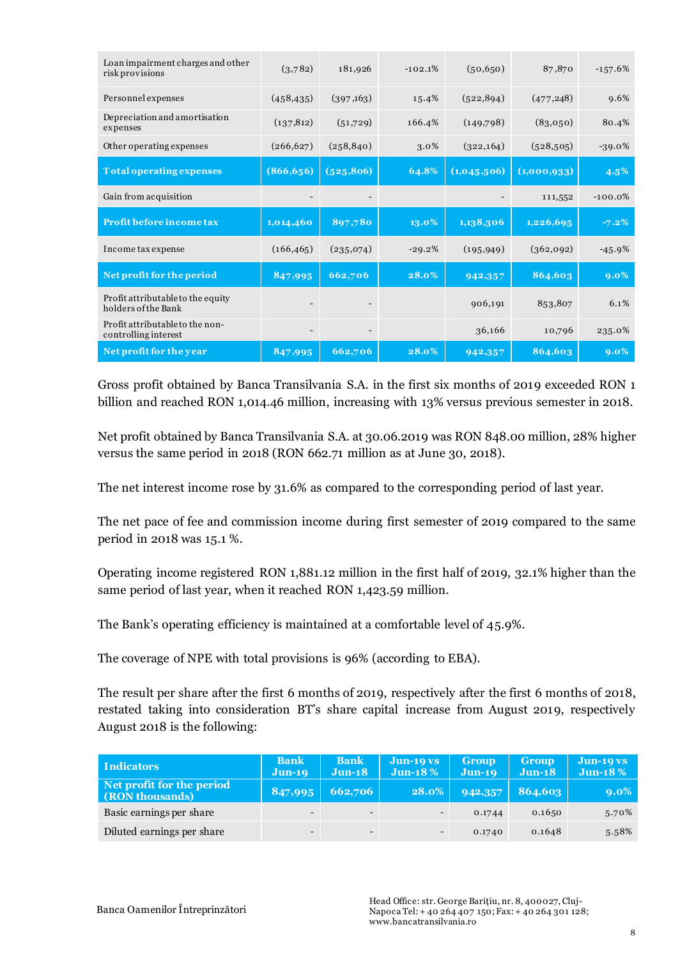| Loan impairment charges and other<br>risk provisions     | (3,782)                  | 181,926    | $-102.1%$ | (50, 650)   | 87,870      | $-157.6%$ |
|----------------------------------------------------------|--------------------------|------------|-----------|-------------|-------------|-----------|
| Personnel expenses                                       | (458, 435)               | (397,163)  | 15.4%     | (522, 894)  | (477, 248)  | 9.6%      |
| Depreciation and amortisation<br>expenses                | (137, 812)               | (51,729)   | 166.4%    | (149,798)   | (83,050)    | 80.4%     |
| Other operating expenses                                 | (266, 627)               | (258, 840) | 3.0%      | (322, 164)  | (528, 505)  | $-39.0\%$ |
| <b>Total operating expenses</b>                          | (866, 656)               | (525, 806) | 64.8%     | (1,045,506) | (1,000,933) | $4.5\%$   |
| Gain from acquisition                                    |                          |            |           |             | 111,552     | $-100.0%$ |
| Profit before income tax                                 | 1,014,460                | 897,780    | 13.0%     | 1,138,306   | 1,226,695   | $-7.2\%$  |
| Income tax expense                                       | (166, 465)               | (235,074)  | $-29.2%$  | (195, 949)  | (362,092)   | $-45.9%$  |
| Net profit for the period                                | 847,995                  | 662,706    | 28.0%     | 942,357     | 864,603     | $9.0\%$   |
| Profit attributable to the equity<br>holders of the Bank |                          |            |           | 906,191     | 853,807     | 6.1%      |
| Profit attributable to the non-<br>controlling interest  | $\overline{\phantom{a}}$ |            |           | 36,166      | 10,796      | 235.0%    |
| Net profit for the year                                  | 847,995                  | 662,706    | 28.0%     | 942,357     | 864,603     | $9.0\%$   |

Gross profit obtained by Banca Transilvania S.A. in the first six months of 2019 exceeded RON 1 billion and reached RON 1,014.46 million, increasing with 13% versus previous semester in 2018.

Net profit obtained by Banca Transilvania S.A. at 30.06.2019 was RON 848.00 million, 28% higher versus the same period in 2018 (RON 662.71 million as at June 30, 2018).

The net interest income rose by 31.6% as compared to the corresponding period of last year.

The net pace of fee and commission income during first semester of 2019 compared to the same period in 2018 was 15.1 %.

Operating income registered RON 1,881.12 million in the first half of 2019, 32.1% higher than the same period of last year, when it reached RON 1,423.59 million.

The Bank's operating efficiency is maintained at a comfortable level of 45.9%.

The coverage of NPE with total provisions is 96% (according to EBA).

The result per share after the first 6 months of 2019, respectively after the first 6 months of 2018, restated taking into consideration BT's share capital increase from August 2019, respectively August 2018 is the following:

| <b>Indicators</b>                            | <b>Bank</b><br>$Jun-19$  | <b>Bank</b><br>$Jun-18$  | $Jun-19VS$<br>Jun-18 $%$ | <b>Group</b><br>$Jun-19$ | <b>Group</b><br>$Jun-18$ | Jun-19 vs<br>Jun-18 $%$ |
|----------------------------------------------|--------------------------|--------------------------|--------------------------|--------------------------|--------------------------|-------------------------|
| Net profit for the period<br>(RON thousands) | 847,995                  | 662,706                  | 28.0%                    | 942,357                  | 864,603                  | $9.0\%$                 |
| Basic earnings per share                     | $\overline{\phantom{0}}$ | $\overline{\phantom{0}}$ | $\overline{\phantom{0}}$ | 0.1744                   | 0.1650                   | 5.70%                   |
| Diluted earnings per share                   | $\overline{\phantom{0}}$ | $\overline{\phantom{0}}$ | $\overline{\phantom{a}}$ | 0.1740                   | 0.1648                   | 5.58%                   |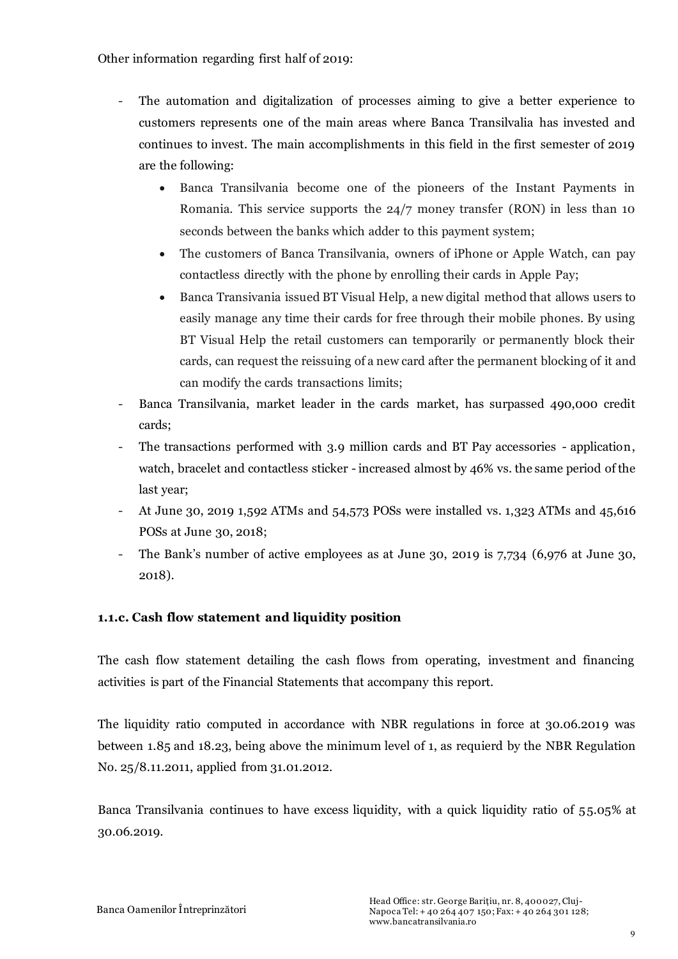Other information regarding first half of 2019:

- The automation and digitalization of processes aiming to give a better experience to customers represents one of the main areas where Banca Transilvalia has invested and continues to invest. The main accomplishments in this field in the first semester of 2019 are the following:
	- Banca Transilvania become one of the pioneers of the Instant Payments in Romania. This service supports the 24/7 money transfer (RON) in less than 10 seconds between the banks which adder to this payment system;
	- The customers of Banca Transilvania, owners of iPhone or Apple Watch, can pay contactless directly with the phone by enrolling their cards in Apple Pay;
	- Banca Transivania issued BT Visual Help, a new digital method that allows users to easily manage any time their cards for free through their mobile phones. By using BT Visual Help the retail customers can temporarily or permanently block their cards, can request the reissuing of a new card after the permanent blocking of it and can modify the cards transactions limits;
- Banca Transilvania, market leader in the cards market, has surpassed 490,000 credit cards;
- The transactions performed with 3.9 million cards and BT Pay accessories application, watch, bracelet and contactless sticker - increased almost by 46% vs. the same period of the last year;
- At June 30, 2019 1,592 ATMs and 54,573 POSs were installed vs. 1,323 ATMs and 45,616 POSs at June 30, 2018;
- The Bank's number of active employees as at June 30, 2019 is 7,734 (6,976 at June 30, 2018).

### **1.1.c. Cash flow statement and liquidity position**

The cash flow statement detailing the cash flows from operating, investment and financing activities is part of the Financial Statements that accompany this report.

The liquidity ratio computed in accordance with NBR regulations in force at 30.06.2019 was between 1.85 and 18.23, being above the minimum level of 1, as requierd by the NBR Regulation No. 25/8.11.2011, applied from 31.01.2012.

Banca Transilvania continues to have excess liquidity, with a quick liquidity ratio of 55.05% at 30.06.2019.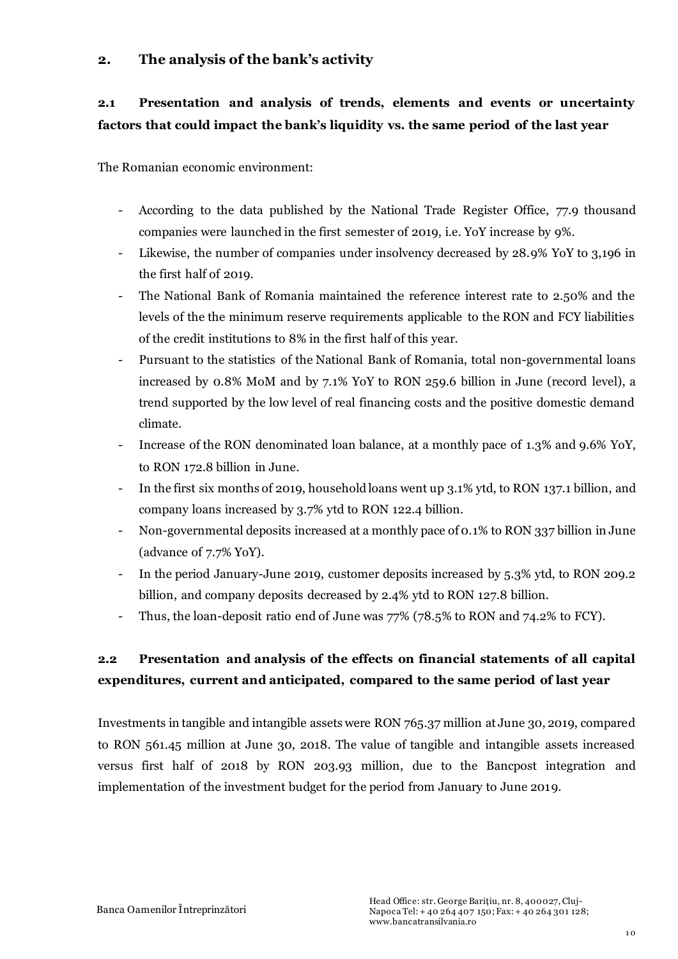### **2. The analysis of the bank's activity**

# **2.1 Presentation and analysis of trends, elements and events or uncertainty factors that could impact the bank's liquidity vs. the same period of the last year**

The Romanian economic environment:

- According to the data published by the National Trade Register Office, 77.9 thousand companies were launched in the first semester of 2019, i.e. YoY increase by 9%.
- Likewise, the number of companies under insolvency decreased by 28.9% YoY to 3,196 in the first half of 2019.
- The National Bank of Romania maintained the reference interest rate to 2.50% and the levels of the the minimum reserve requirements applicable to the RON and FCY liabilities of the credit institutions to 8% in the first half of this year.
- Pursuant to the statistics of the National Bank of Romania, total non-governmental loans increased by 0.8% MoM and by 7.1% YoY to RON 259.6 billion in June (record level), a trend supported by the low level of real financing costs and the positive domestic demand climate.
- Increase of the RON denominated loan balance, at a monthly pace of 1.3% and 9.6% YoY, to RON 172.8 billion in June.
- In the first six months of 2019, household loans went up 3.1% ytd, to RON 137.1 billion, and company loans increased by 3.7% ytd to RON 122.4 billion.
- Non-governmental deposits increased at a monthly pace of 0.1% to RON 337 billion in June (advance of 7.7% YoY).
- In the period January-June 2019, customer deposits increased by 5.3% ytd, to RON 209.2 billion, and company deposits decreased by 2.4% ytd to RON 127.8 billion.
- Thus, the loan-deposit ratio end of June was 77% (78.5% to RON and 74.2% to FCY).

# **2.2 Presentation and analysis of the effects on financial statements of all capital expenditures, current and anticipated, compared to the same period of last year**

Investments in tangible and intangible assets were RON 765.37 million at June 30, 2019, compared to RON 561.45 million at June 30, 2018. The value of tangible and intangible assets increased versus first half of 2018 by RON 203.93 million, due to the Bancpost integration and implementation of the investment budget for the period from January to June 2019.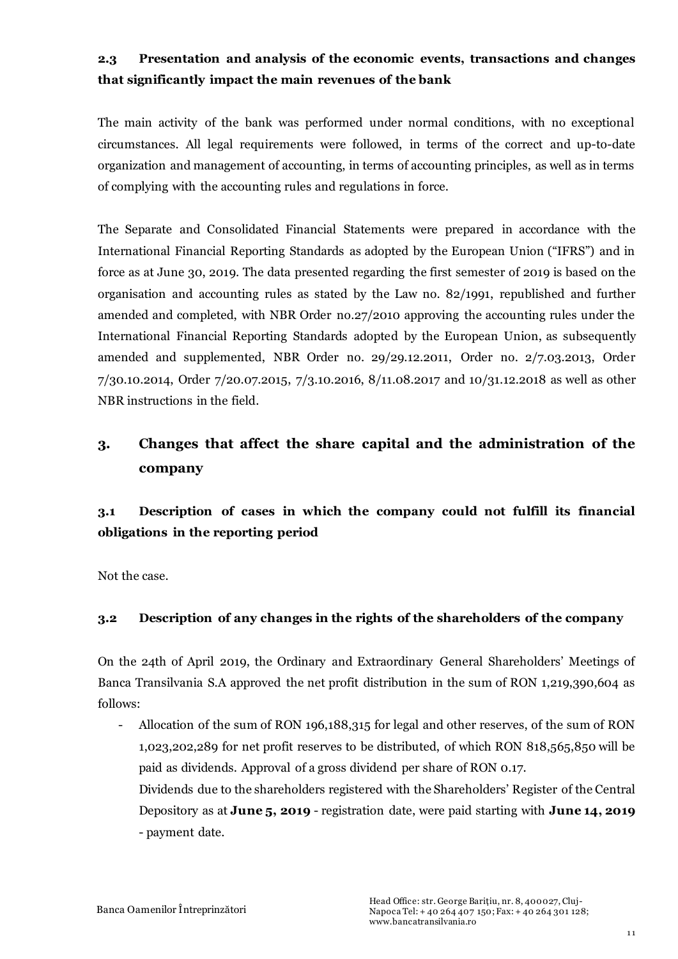# **2.3 Presentation and analysis of the economic events, transactions and changes that significantly impact the main revenues of the bank**

The main activity of the bank was performed under normal conditions, with no exceptional circumstances. All legal requirements were followed, in terms of the correct and up-to-date organization and management of accounting, in terms of accounting principles, as well as in terms of complying with the accounting rules and regulations in force.

The Separate and Consolidated Financial Statements were prepared in accordance with the International Financial Reporting Standards as adopted by the European Union ("IFRS") and in force as at June 30, 2019. The data presented regarding the first semester of 2019 is based on the organisation and accounting rules as stated by the Law no. 82/1991, republished and further amended and completed, with NBR Order no.27/2010 approving the accounting rules under the International Financial Reporting Standards adopted by the European Union, as subsequently amended and supplemented, NBR Order no. 29/29.12.2011, Order no. 2/7.03.2013, Order 7/30.10.2014, Order 7/20.07.2015, 7/3.10.2016, 8/11.08.2017 and 10/31.12.2018 as well as other NBR instructions in the field.

# **3. Changes that affect the share capital and the administration of the company**

# **3.1 Description of cases in which the company could not fulfill its financial obligations in the reporting period**

Not the case.

### **3.2 Description of any changes in the rights of the shareholders of the company**

On the 24th of April 2019, the Ordinary and Extraordinary General Shareholders' Meetings of Banca Transilvania S.A approved the net profit distribution in the sum of RON 1,219,390,604 as follows:

- Allocation of the sum of RON 196,188,315 for legal and other reserves, of the sum of RON 1,023,202,289 for net profit reserves to be distributed, of which RON 818,565,850 will be paid as dividends. Approval of a gross dividend per share of RON 0.17. Dividends due to the shareholders registered with the Shareholders' Register of the Central

Depository as at **June 5, 2019** - registration date, were paid starting with **June 14, 2019** - payment date.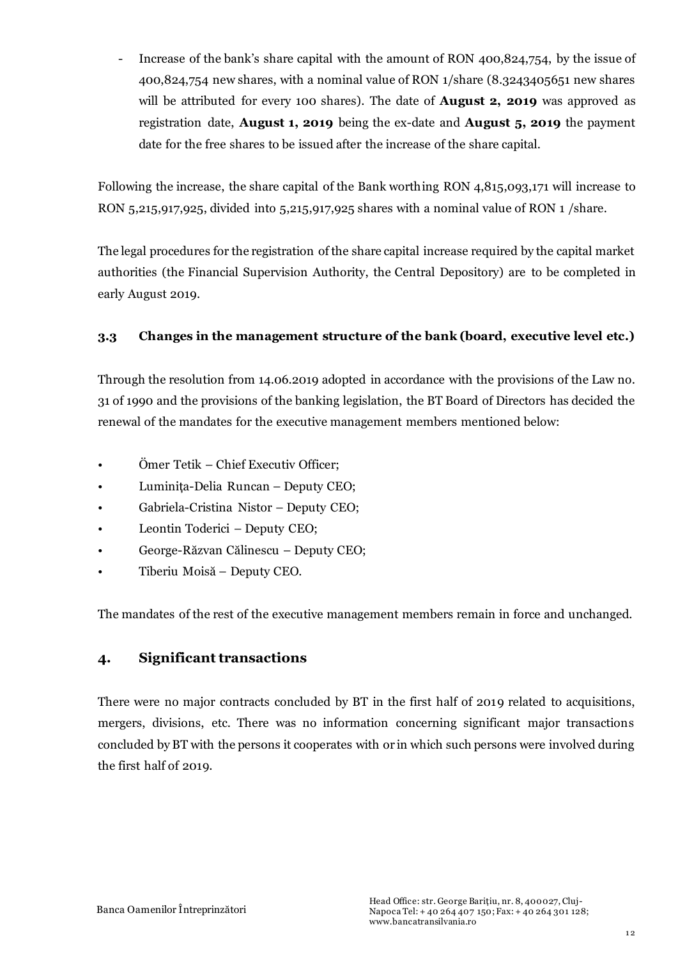- Increase of the bank's share capital with the amount of RON 400,824,754, by the issue of 400,824,754 new shares, with a nominal value of RON 1/share (8.3243405651 new shares will be attributed for every 100 shares). The date of **August 2, 2019** was approved as registration date, **August 1, 2019** being the ex-date and **August 5, 2019** the payment date for the free shares to be issued after the increase of the share capital.

Following the increase, the share capital of the Bank worthing RON 4,815,093,171 will increase to RON 5,215,917,925, divided into 5,215,917,925 shares with a nominal value of RON 1 /share.

The legal procedures for the registration of the share capital increase required by the capital market authorities (the Financial Supervision Authority, the Central Depository) are to be completed in early August 2019.

### **3.3 Changes in the management structure of the bank (board, executive level etc.)**

Through the resolution from 14.06.2019 adopted in accordance with the provisions of the Law no. 31 of 1990 and the provisions of the banking legislation, the BT Board of Directors has decided the renewal of the mandates for the executive management members mentioned below:

- Ömer Tetik Chief Executiv Officer;
- Luminița-Delia Runcan Deputy CEO;
- Gabriela-Cristina Nistor Deputy CEO;
- Leontin Toderici Deputy CEO;
- George-Răzvan Călinescu Deputy CEO;
- Tiberiu Moisă Deputy CEO.

The mandates of the rest of the executive management members remain in force and unchanged.

### **4. Significant transactions**

There were no major contracts concluded by BT in the first half of 2019 related to acquisitions, mergers, divisions, etc. There was no information concerning significant major transactions concluded by BT with the persons it cooperates with or in which such persons were involved during the first half of 2019.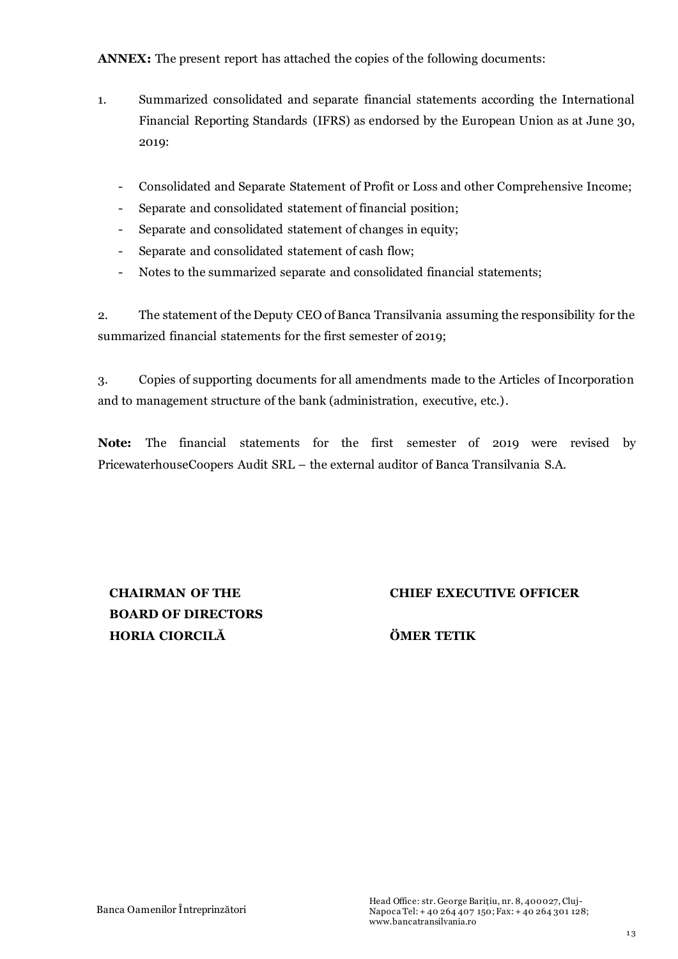**ANNEX:** The present report has attached the copies of the following documents:

- 1. Summarized consolidated and separate financial statements according the International Financial Reporting Standards (IFRS) as endorsed by the European Union as at June 30, 2019:
	- Consolidated and Separate Statement of Profit or Loss and other Comprehensive Income;
	- Separate and consolidated statement of financial position;
	- Separate and consolidated statement of changes in equity;
	- Separate and consolidated statement of cash flow;
	- Notes to the summarized separate and consolidated financial statements;

2. The statement of the Deputy CEO of Banca Transilvania assuming the responsibility for the summarized financial statements for the first semester of 2019;

3. Copies of supporting documents for all amendments made to the Articles of Incorporation and to management structure of the bank (administration, executive, etc.).

**Note:** The financial statements for the first semester of 2019 were revised by PricewaterhouseCoopers Audit SRL – the external auditor of Banca Transilvania S.A.

**CHAIRMAN OF THE BOARD OF DIRECTORS HORIA CIORCILĂ ÖMER TETIK**

### **CHIEF EXECUTIVE OFFICER**